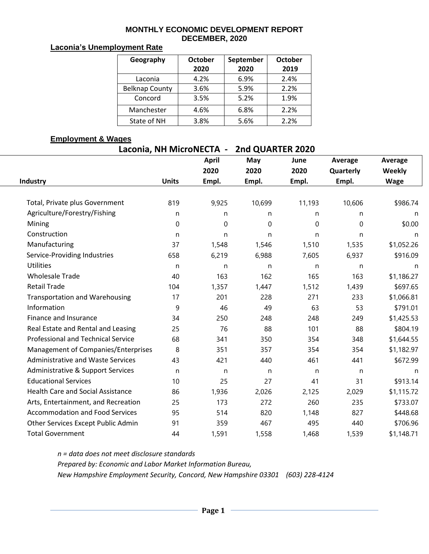#### **MONTHLY ECONOMIC DEVELOPMENT REPORT DECEMBER, 2020**

### **Laconia's Unemployment Rate**

| Geography             | October | <b>October</b> |      |  |
|-----------------------|---------|----------------|------|--|
|                       | 2020    | 2020           | 2019 |  |
| Laconia               | 4.2%    | 6.9%           | 2.4% |  |
| <b>Belknap County</b> | 3.6%    | 5.9%           | 2.2% |  |
| Concord               | 3.5%    | 5.2%           | 1.9% |  |
| Manchester            | 4.6%    | 6.8%           | 2.2% |  |
| State of NH           | 3.8%    | 5.6%           | 2.2% |  |

### **Employment & Wages**

| Laconia, NH MicroNECTA -                  |              | 2nd QUARTER 2020 |        |        |           |             |  |  |  |
|-------------------------------------------|--------------|------------------|--------|--------|-----------|-------------|--|--|--|
|                                           |              | <b>April</b>     | May    | June   | Average   | Average     |  |  |  |
|                                           |              | 2020             | 2020   | 2020   | Quarterly | Weekly      |  |  |  |
| Industry                                  | <b>Units</b> | Empl.            | Empl.  | Empl.  | Empl.     | <b>Wage</b> |  |  |  |
|                                           |              |                  |        |        |           |             |  |  |  |
| Total, Private plus Government            | 819          | 9,925            | 10,699 | 11,193 | 10,606    | \$986.74    |  |  |  |
| Agriculture/Forestry/Fishing              | n            | n                | n      | n      | n         | n           |  |  |  |
| Mining                                    | 0            | $\mathbf 0$      | 0      | 0      | 0         | \$0.00      |  |  |  |
| Construction                              | n            | n                | n      | n      | n         | n           |  |  |  |
| Manufacturing                             | 37           | 1,548            | 1,546  | 1,510  | 1,535     | \$1,052.26  |  |  |  |
| Service-Providing Industries              | 658          | 6,219            | 6,988  | 7,605  | 6,937     | \$916.09    |  |  |  |
| <b>Utilities</b>                          | n            | n                | n      | n      | n         | n           |  |  |  |
| <b>Wholesale Trade</b>                    | 40           | 163              | 162    | 165    | 163       | \$1,186.27  |  |  |  |
| <b>Retail Trade</b>                       | 104          | 1,357            | 1,447  | 1,512  | 1,439     | \$697.65    |  |  |  |
| <b>Transportation and Warehousing</b>     | 17           | 201              | 228    | 271    | 233       | \$1,066.81  |  |  |  |
| Information                               | 9            | 46               | 49     | 63     | 53        | \$791.01    |  |  |  |
| <b>Finance and Insurance</b>              | 34           | 250              | 248    | 248    | 249       | \$1,425.53  |  |  |  |
| Real Estate and Rental and Leasing        | 25           | 76               | 88     | 101    | 88        | \$804.19    |  |  |  |
| <b>Professional and Technical Service</b> | 68           | 341              | 350    | 354    | 348       | \$1,644.55  |  |  |  |
| Management of Companies/Enterprises       | 8            | 351              | 357    | 354    | 354       | \$1,182.97  |  |  |  |
| <b>Administrative and Waste Services</b>  | 43           | 421              | 440    | 461    | 441       | \$672.99    |  |  |  |
| Administrative & Support Services         | n            | n                | n      | n      | n         | n           |  |  |  |
| <b>Educational Services</b>               | 10           | 25               | 27     | 41     | 31        | \$913.14    |  |  |  |
| <b>Health Care and Social Assistance</b>  | 86           | 1,936            | 2,026  | 2,125  | 2,029     | \$1,115.72  |  |  |  |
| Arts, Entertainment, and Recreation       | 25           | 173              | 272    | 260    | 235       | \$733.07    |  |  |  |
| <b>Accommodation and Food Services</b>    | 95           | 514              | 820    | 1,148  | 827       | \$448.68    |  |  |  |
| Other Services Except Public Admin        | 91           | 359              | 467    | 495    | 440       | \$706.96    |  |  |  |
| <b>Total Government</b>                   | 44           | 1,591            | 1,558  | 1,468  | 1,539     | \$1,148.71  |  |  |  |

*n = data does not meet disclosure standards Prepared by: Economic and Labor Market Information Bureau, New Hampshire Employment Security, Concord, New Hampshire 03301 (603) 228-4124*